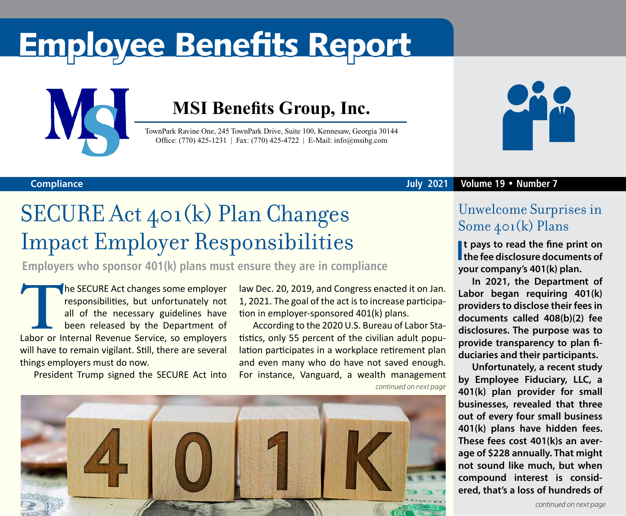# Employee Benefits Report



### **MSI Benefits Group, Inc.**

TownPark Ravine One, 245 TownPark Drive, Suite 100, Kennesaw, Georgia 30144 Office: (770) 425-1231 | Fax: (770) 425-4722 | E-Mail: info@msibg.com



#### **July 2021 Volume 19 • Number 7**

#### **Compliance**

## SECURE Act 401(k) Plan Changes Impact Employer Responsibilities

**Employers who sponsor 401(k) plans must ensure they are in compliance**

**THE SECURE Act changes some employer responsibilities, but unfortunately not all of the necessary guidelines have been released by the Department of Labor or Internal Revenue Service, so employers** responsibilities, but unfortunately not all of the necessary guidelines have been released by the Department of will have to remain vigilant. Still, there are several things employers must do now.

President Trump signed the SECURE Act into

law Dec. 20, 2019, and Congress enacted it on Jan. 1, 2021. The goal of the act is to increase participation in employer-sponsored 401(k) plans.

*continued on next page* According to the 2020 U.S. Bureau of Labor Statistics, only 55 percent of the civilian adult population participates in a workplace retirement plan and even many who do have not saved enough. For instance, Vanguard, a wealth management



### Unwelcome Surprises in Some 401(k) Plans

**I t pays to read the fine print on the fee disclosure documents of your company's 401(k) plan.**

**In 2021, the Department of Labor began requiring 401(k) providers to disclose their fees in documents called 408(b)(2) fee disclosures. The purpose was to provide transparency to plan fiduciaries and their participants.**

**Unfortunately, a recent study by Employee Fiduciary, LLC, a 401(k) plan provider for small businesses, revealed that three out of every four small business 401(k) plans have hidden fees. These fees cost 401(k)s an average of \$228 annually. That might not sound like much, but when compound interest is considered, that's a loss of hundreds of**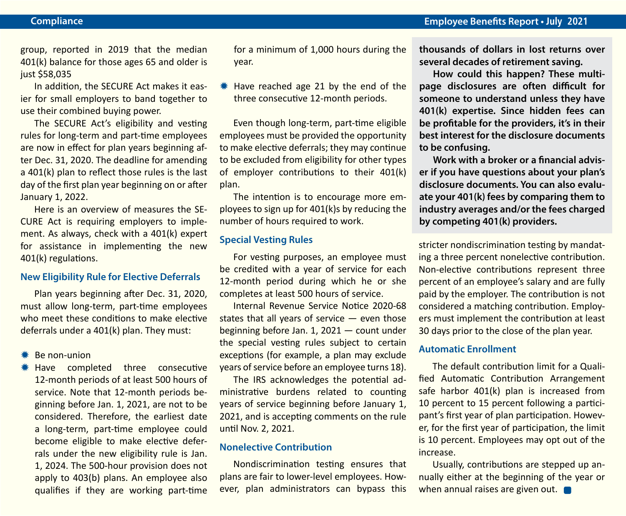group, reported in 2019 that the median 401(k) balance for those ages 65 and older is just \$58,035

In addition, the SECURE Act makes it easier for small employers to band together to use their combined buying power.

The SECURE Act's eligibility and vesting rules for long-term and part-time employees are now in effect for plan years beginning after Dec. 31, 2020. The deadline for amending a 401(k) plan to reflect those rules is the last day of the first plan year beginning on or after January 1, 2022.

Here is an overview of measures the SE-CURE Act is requiring employers to implement. As always, check with a 401(k) expert for assistance in implementing the new 401(k) regulations.

#### **New Eligibility Rule for Elective Deferrals**

Plan years beginning after Dec. 31, 2020, must allow long-term, part-time employees who meet these conditions to make elective deferrals under a 401(k) plan. They must:

 $*$  Be non-union

 $*$  Have completed three consecutive 12-month periods of at least 500 hours of service. Note that 12-month periods beginning before Jan. 1, 2021, are not to be considered. Therefore, the earliest date a long-term, part-time employee could become eligible to make elective deferrals under the new eligibility rule is Jan. 1, 2024. The 500-hour provision does not apply to 403(b) plans. An employee also qualifies if they are working part-time for a minimum of 1,000 hours during the year.

 $*$  Have reached age 21 by the end of the three consecutive 12-month periods.

Even though long-term, part-time eligible employees must be provided the opportunity to make elective deferrals; they may continue to be excluded from eligibility for other types of employer contributions to their 401(k) plan.

The intention is to encourage more employees to sign up for 401(k)s by reducing the number of hours required to work.

#### **Special Vesting Rules**

For vesting purposes, an employee must be credited with a year of service for each 12-month period during which he or she completes at least 500 hours of service.

Internal Revenue Service Notice 2020-68 states that all years of service — even those beginning before Jan. 1, 2021 — count under the special vesting rules subject to certain exceptions (for example, a plan may exclude years of service before an employee turns 18).

The IRS acknowledges the potential administrative burdens related to counting years of service beginning before January 1, 2021, and is accepting comments on the rule until Nov. 2, 2021.

#### **Nonelective Contribution**

Nondiscrimination testing ensures that plans are fair to lower-level employees. However, plan administrators can bypass this

**thousands of dollars in lost returns over several decades of retirement saving.**

**How could this happen? These multipage disclosures are often difficult for someone to understand unless they have 401(k) expertise. Since hidden fees can be profitable for the providers, it's in their best interest for the disclosure documents to be confusing.** 

**Work with a broker or a financial adviser if you have questions about your plan's disclosure documents. You can also evaluate your 401(k) fees by comparing them to industry averages and/or the fees charged by competing 401(k) providers.**

stricter nondiscrimination testing by mandating a three percent nonelective contribution. Non-elective contributions represent three percent of an employee's salary and are fully paid by the employer. The contribution is not considered a matching contribution. Employers must implement the contribution at least 30 days prior to the close of the plan year.

#### **Automatic Enrollment**

The default contribution limit for a Qualified Automatic Contribution Arrangement safe harbor 401(k) plan is increased from 10 percent to 15 percent following a participant's first year of plan participation. However, for the first year of participation, the limit is 10 percent. Employees may opt out of the increase.

Usually, contributions are stepped up annually either at the beginning of the year or when annual raises are given out.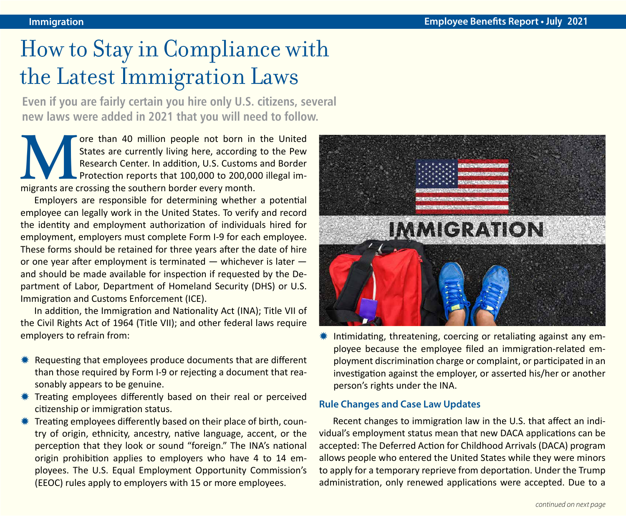# How to Stay in Compliance with the Latest Immigration Laws

**Even if you are fairly certain you hire only U.S. citizens, several new laws were added in 2021 that you will need to follow.** 

The United States are currently living here, according to the Pew Research Center. In addition, U.S. Customs and Border Protection reports that 100,000 to 200,000 illegal immigrants are crossing the southern border every m States are currently living here, according to the Pew Research Center. In addition, U.S. Customs and Border Protection reports that 100,000 to 200,000 illegal immigrants are crossing the southern border every month.

Employers are responsible for determining whether a potential employee can legally work in the United States. To verify and record the identity and employment authorization of individuals hired for employment, employers must complete Form I-9 for each employee. These forms should be retained for three years after the date of hire or one year after employment is terminated — whichever is later and should be made available for inspection if requested by the Department of Labor, Department of Homeland Security (DHS) or U.S. Immigration and Customs Enforcement (ICE).

In addition, the Immigration and Nationality Act (INA); Title VII of the Civil Rights Act of 1964 (Title VII); and other federal laws require employers to refrain from:

- $*$  Requesting that employees produce documents that are different than those required by Form I-9 or rejecting a document that reasonably appears to be genuine.
- $*$  Treating employees differently based on their real or perceived citizenship or immigration status.
- $*$  Treating employees differently based on their place of birth, country of origin, ethnicity, ancestry, native language, accent, or the perception that they look or sound "foreign." The INA's national origin prohibition applies to employers who have 4 to 14 employees. The U.S. Equal Employment Opportunity Commission's (EEOC) rules apply to employers with 15 or more employees.



 $*$  Intimidating, threatening, coercing or retaliating against any employee because the employee filed an immigration-related employment discrimination charge or complaint, or participated in an investigation against the employer, or asserted his/her or another person's rights under the INA.

#### **Rule Changes and Case Law Updates**

Recent changes to immigration law in the U.S. that affect an individual's employment status mean that new DACA applications can be accepted: The Deferred Action for Childhood Arrivals (DACA) program allows people who entered the United States while they were minors to apply for a temporary reprieve from deportation. Under the Trump administration, only renewed applications were accepted. Due to a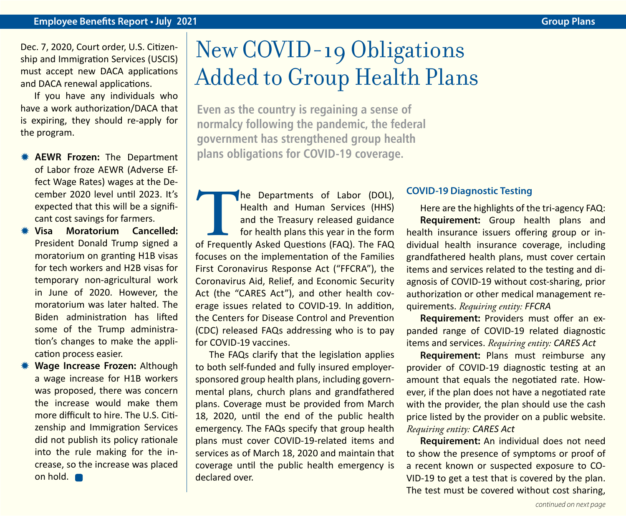Dec. 7, 2020, Court order, U.S. Citizenship and Immigration Services (USCIS) must accept new DACA applications and DACA renewal applications.

If you have any individuals who have a work authorization/DACA that is expiring, they should re-apply for the program.

- **\* AEWR Frozen:** The Department of Labor froze AEWR (Adverse Effect Wage Rates) wages at the December 2020 level until 2023. It's expected that this will be a significant cost savings for farmers.
- Y **Visa Moratorium Cancelled:** President Donald Trump signed a moratorium on granting H1B visas for tech workers and H2B visas for temporary non-agricultural work in June of 2020. However, the moratorium was later halted. The Biden administration has lifted some of the Trump administration's changes to make the application process easier.
- **Wage Increase Frozen: Although** a wage increase for H1B workers was proposed, there was concern the increase would make them more difficult to hire. The U.S. Citizenship and Immigration Services did not publish its policy rationale into the rule making for the increase, so the increase was placed on hold.

## New COVID-19 Obligations Added to Group Health Plans

**Even as the country is regaining a sense of normalcy following the pandemic, the federal government has strengthened group health plans obligations for COVID-19 coverage.**

**THE DEPARTMENT OF Labor (DOL),**<br>
Health and Human Services (HHS)<br>
and the Treasury released guidance<br>
for health plans this year in the form<br>
of Frequently Asked Questions (FAQ). The FAQ Health and Human Services (HHS) and the Treasury released guidance for health plans this year in the form focuses on the implementation of the Families First Coronavirus Response Act ("FFCRA"), the Coronavirus Aid, Relief, and Economic Security Act (the "CARES Act"), and other health coverage issues related to COVID-19. In addition, the Centers for Disease Control and Prevention (CDC) released FAQs addressing who is to pay for COVID-19 vaccines.

The FAQs clarify that the legislation applies to both self-funded and fully insured employersponsored group health plans, including governmental plans, church plans and grandfathered plans. Coverage must be provided from March 18, 2020, until the end of the public health emergency. The FAQs specify that group health plans must cover COVID-19-related items and services as of March 18, 2020 and maintain that coverage until the public health emergency is declared over.

#### **COVID-19 Diagnostic Testing**

Here are the highlights of the tri-agency FAQ: **Requirement:** Group health plans and health insurance issuers offering group or individual health insurance coverage, including grandfathered health plans, must cover certain items and services related to the testing and diagnosis of COVID-19 without cost-sharing, prior authorization or other medical management requirements. *Requiring entity: FFCRA*

**Requirement:** Providers must offer an expanded range of COVID-19 related diagnostic items and services. *Requiring entity: CARES Act* 

**Requirement:** Plans must reimburse any provider of COVID-19 diagnostic testing at an amount that equals the negotiated rate. However, if the plan does not have a negotiated rate with the provider, the plan should use the cash price listed by the provider on a public website. *Requiring entity: CARES Act* 

**Requirement:** An individual does not need to show the presence of symptoms or proof of a recent known or suspected exposure to CO-VID-19 to get a test that is covered by the plan. The test must be covered without cost sharing,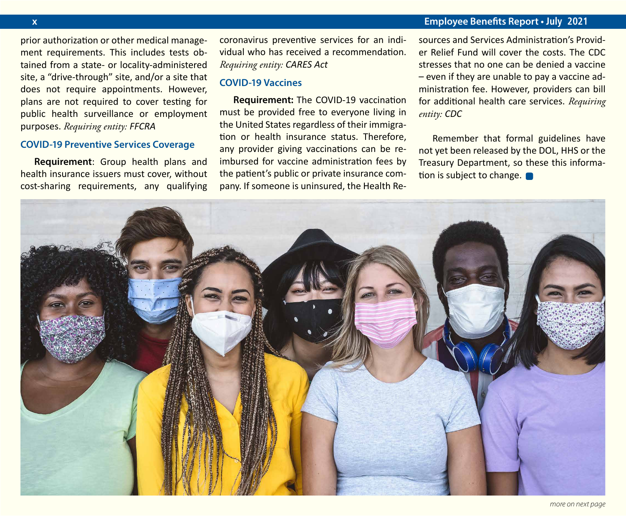#### **x Employee Benefits Report • July 2021**

prior authorization or other medical management requirements. This includes tests obtained from a state- or locality-administered site, a "drive-through" site, and/or a site that does not require appointments. However, plans are not required to cover testing for public health surveillance or employment purposes. *Requiring entity: FFCRA*

#### **COVID-19 Preventive Services Coverage**

**Requirement**: Group health plans and health insurance issuers must cover, without cost-sharing requirements, any qualifying

coronavirus preventive services for an individual who has received a recommendation. *Requiring entity: CARES Act*

#### **COVID-19 Vaccines**

**Requirement:** The COVID-19 vaccination must be provided free to everyone living in the United States regardless of their immigration or health insurance status. Therefore, any provider giving vaccinations can be reimbursed for vaccine administration fees by the patient's public or private insurance company. If someone is uninsured, the Health Resources and Services Administration's Provider Relief Fund will cover the costs. The CDC stresses that no one can be denied a vaccine – even if they are unable to pay a vaccine administration fee. However, providers can bill for additional health care services. *Requiring entity: CDC* 

Remember that formal guidelines have not yet been released by the DOL, HHS or the Treasury Department, so these this information is subject to change.